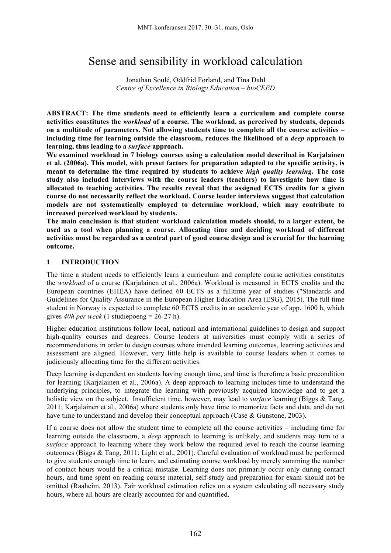# Sense and sensibility in workload calculation

Jonathan Soulé, Oddfrid Førland, and Tina Dahl *Centre of Excellence in Biology Education – bioCEED*

**ABSTRACT: The time students need to efficiently learn a curriculum and complete course activities constitutes the** *workload* **of a course. The workload, as perceived by students, depends on a multitude of parameters. Not allowing students time to complete all the course activities – including time for learning outside the classroom, reduces the likelihood of a** *deep* **approach to learning, thus leading to a** *surface* **approach.** 

**We examined workload in 7 biology courses using a calculation model described in Karjalainen et al. (2006a). This model, with preset factors for preparation adapted to the specific activity, is meant to determine the time required by students to achieve** *high quality learning***. The case study also included interviews with the course leaders (teachers) to investigate how time is allocated to teaching activities. The results reveal that the assigned ECTS credits for a given course do not necessarily reflect the workload. Course leader interviews suggest that calculation models are not systematically employed to determine workload, which may contribute to increased perceived workload by students.** 

**The main conclusion is that student workload calculation models should, to a larger extent, be used as a tool when planning a course. Allocating time and deciding workload of different activities must be regarded as a central part of good course design and is crucial for the learning outcome.**

## **1 INTRODUCTION**

The time a student needs to efficiently learn a curriculum and complete course activities constitutes the *workload* of a course (Karjalainen et al., 2006a). Workload is measured in ECTS credits and the European countries (EHEA) have defined 60 ECTS as a fulltime year of studies ("Standards and Guidelines for Quality Assurance in the European Higher Education Area (ESG), 2015). The full time student in Norway is expected to complete 60 ECTS credits in an academic year of app. 1600 h, which gives *40h per week* (1 studiepoeng = 26-27 h).

Higher education institutions follow local, national and international guidelines to design and support high-quality courses and degrees. Course leaders at universities must comply with a series of recommendations in order to design courses where intended learning outcomes, learning activities and assessment are aligned. However, very little help is available to course leaders when it comes to judiciously allocating time for the different activities.

Deep learning is dependent on students having enough time, and time is therefore a basic precondition for learning (Karjalainen et al., 2006a). A deep approach to learning includes time to understand the underlying principles, to integrate the learning with previously acquired knowledge and to get a holistic view on the subject. Insufficient time, however, may lead to *surface* learning (Biggs & Tang, 2011; Karjalainen et al., 2006a) where students only have time to memorize facts and data, and do not have time to understand and develop their conceptual approach (Case & Gunstone, 2003).

If a course does not allow the student time to complete all the course activities – including time for learning outside the classroom, a *deep* approach to learning is unlikely, and students may turn to a *surface* approach to learning where they work below the required level to reach the course learning outcomes (Biggs & Tang, 2011; Light et al., 2001). Careful evaluation of workload must be performed to give students enough time to learn, and estimating course workload by merely summing the number of contact hours would be a critical mistake. Learning does not primarily occur only during contact hours, and time spent on reading course material, self-study and preparation for exam should not be omitted (Raaheim, 2013). Fair workload estimation relies on a system calculating all necessary study hours, where all hours are clearly accounted for and quantified.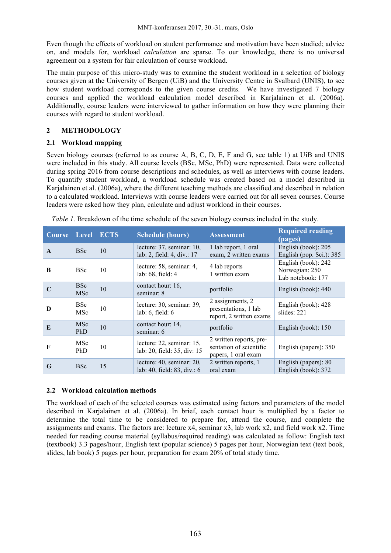Even though the effects of workload on student performance and motivation have been studied; advice on, and models for, workload *calculation* are sparse. To our knowledge, there is no universal agreement on a system for fair calculation of course workload.

The main purpose of this micro-study was to examine the student workload in a selection of biology courses given at the University of Bergen (UiB) and the University Centre in Svalbard (UNIS), to see how student workload corresponds to the given course credits. We have investigated 7 biology courses and applied the workload calculation model described in Karjalainen et al. (2006a). Additionally, course leaders were interviewed to gather information on how they were planning their courses with regard to student workload.

# **2 METHODOLOGY**

## **2.1 Workload mapping**

Seven biology courses (referred to as course A, B, C, D, E, F and G, see table 1) at UiB and UNIS were included in this study. All course levels (BSc, MSc, PhD) were represented. Data were collected during spring 2016 from course descriptions and schedules, as well as interviews with course leaders. To quantify student workload, a workload schedule was created based on a model described in Karjalainen et al. (2006a), where the different teaching methods are classified and described in relation to a calculated workload. Interviews with course leaders were carried out for all seven courses. Course leaders were asked how they plan, calculate and adjust workload in their courses.

| <b>Course</b> | <b>Level ECTS</b>        |    | <b>Schedule (hours)</b>                                  | <b>Assessment</b>                                                         | <b>Required reading</b><br>(pages)                         |
|---------------|--------------------------|----|----------------------------------------------------------|---------------------------------------------------------------------------|------------------------------------------------------------|
| $\mathbf{A}$  | <b>BSc</b>               | 10 | lecture: 37, seminar: 10,<br>lab: 2, field: 4, div.: 17  | 1 lab report, 1 oral<br>exam, 2 written exams                             | English (book): 205<br>English (pop. Sci.): 385            |
| B             | <b>BSc</b>               | 10 | lecture: 58, seminar: 4,<br>lab: 68, field: 4            | 4 lab reports<br>1 written exam                                           | English (book): 242<br>Norwegian: 250<br>Lab notebook: 177 |
|               | <b>BSc</b><br><b>MSc</b> | 10 | contact hour: 16,<br>seminar: 8                          | portfolio                                                                 | English (book): 440                                        |
| D             | <b>BSc</b><br><b>MSc</b> | 10 | lecture: 30, seminar: 39,<br>lab: $6$ , field: $6$       | 2 assignments, 2<br>presentations, 1 lab<br>report, 2 written exams       | English (book): 428<br>slides: 221                         |
| E             | MSc<br><b>PhD</b>        | 10 | contact hour: 14,<br>seminar: 6                          | portfolio                                                                 | English (book): 150                                        |
| $\mathbf F$   | <b>MSc</b><br>PhD        | 10 | lecture: 22, seminar: 15,<br>lab: 20, field: 35, div: 15 | 2 written reports, pre-<br>sentation of scientific<br>papers, 1 oral exam | English (papers): 350                                      |
| G             | <b>BSc</b>               | 15 | lecture: 40, seminar: 20,<br>lab: 40, field: 83, div.: 6 | 2 written reports, 1<br>oral exam                                         | English (papers): 80<br>English (book): 372                |

*Table 1.* Breakdown of the time schedule of the seven biology courses included in the study.

## **2.2 Workload calculation methods**

The workload of each of the selected courses was estimated using factors and parameters of the model described in Karjalainen et al. (2006a). In brief, each contact hour is multiplied by a factor to determine the total time to be considered to prepare for, attend the course, and complete the assignments and exams. The factors are: lecture x4, seminar x3, lab work x2, and field work x2. Time needed for reading course material (syllabus/required reading) was calculated as follow: English text (textbook) 3.3 pages/hour, English text (popular science) 5 pages per hour, Norwegian text (text book, slides, lab book) 5 pages per hour, preparation for exam 20% of total study time.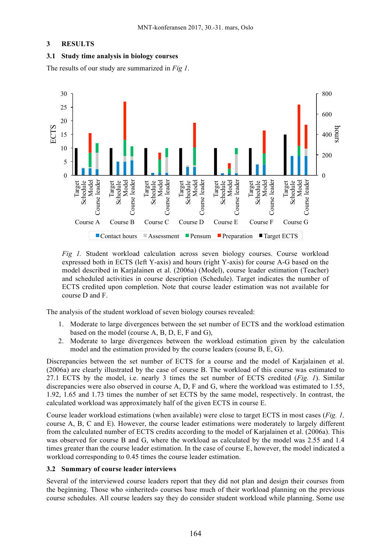#### **3 RESULTS**

#### **3.1 Study time analysis in biology courses**

The results of our study are summarized in *Fig 1*.



*Fig 1.* Student workload calculation across seven biology courses. Course workload expressed both in ECTS (left Y-axis) and hours (right Y-axis) for course A-G based on the model described in Karjalainen et al. (2006a) (Model), course leader estimation (Teacher) and scheduled activities in course description (Schedule). Target indicates the number of ECTS credited upon completion. Note that course leader estimation was not available for course D and F.

The analysis of the student workload of seven biology courses revealed:

- 1. Moderate to large divergences between the set number of ECTS and the workload estimation based on the model (course A, B, D, E, F and G),
- 2. Moderate to large divergences between the workload estimation given by the calculation model and the estimation provided by the course leaders (course B, E, G).

Discrepancies between the set number of ECTS for a course and the model of Karjalainen et al. (2006a) are clearly illustrated by the case of course B. The workload of this course was estimated to 27.1 ECTS by the model, i.e. nearly 3 times the set number of ECTS credited (*Fig. 1*). Similar discrepancies were also observed in course A, D, F and G, where the workload was estimated to 1.55, 1.92, 1.65 and 1.73 times the number of set ECTS by the same model, respectively. In contrast, the calculated workload was approximately half of the given ECTS in course E.

Course leader workload estimations (when available) were close to target ECTS in most cases (*Fig. 1,* course A, B, C and E). However, the course leader estimations were moderately to largely different from the calculated number of ECTS credits according to the model of Karjalainen et al. (2006a). This was observed for course B and G, where the workload as calculated by the model was 2.55 and 1.4 times greater than the course leader estimation. In the case of course E, however, the model indicated a workload corresponding to 0.45 times the course leader estimation.

#### **3.2 Summary of course leader interviews**

Several of the interviewed course leaders report that they did not plan and design their courses from the beginning. Those who «inherited» courses base much of their workload planning on the previous course schedules. All course leaders say they do consider student workload while planning. Some use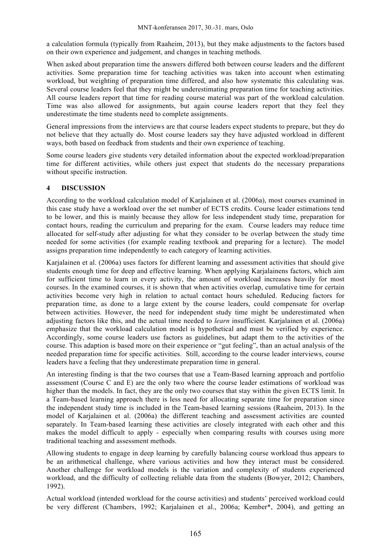a calculation formula (typically from Raaheim, 2013), but they make adjustments to the factors based on their own experience and judgement, and changes in teaching methods.

When asked about preparation time the answers differed both between course leaders and the different activities. Some preparation time for teaching activities was taken into account when estimating workload, but weighting of preparation time differed, and also how systematic this calculating was. Several course leaders feel that they might be underestimating preparation time for teaching activities. All course leaders report that time for reading course material was part of the workload calculation. Time was also allowed for assignments, but again course leaders report that they feel they underestimate the time students need to complete assignments.

General impressions from the interviews are that course leaders expect students to prepare, but they do not believe that they actually do. Most course leaders say they have adjusted workload in different ways, both based on feedback from students and their own experience of teaching.

Some course leaders give students very detailed information about the expected workload/preparation time for different activities, while others just expect that students do the necessary preparations without specific instruction.

## **4 DISCUSSION**

According to the workload calculation model of Karjalainen et al. (2006a), most courses examined in this case study have a workload over the set number of ECTS credits. Course leader estimations tend to be lower, and this is mainly because they allow for less independent study time, preparation for contact hours, reading the curriculum and preparing for the exam. Course leaders may reduce time allocated for self-study after adjusting for what they consider to be overlap between the study time needed for some activities (for example reading textbook and preparing for a lecture). The model assigns preparation time independently to each category of learning activities.

Karjalainen et al. (2006a) uses factors for different learning and assessment activities that should give students enough time for deep and effective learning. When applying Karjalainens factors, which aim for sufficient time to learn in every activity, the amount of workload increases heavily for most courses. In the examined courses, it is shown that when activities overlap, cumulative time for certain activities become very high in relation to actual contact hours scheduled. Reducing factors for preparation time, as done to a large extent by the course leaders, could compensate for overlap between activities. However, the need for independent study time might be underestimated when adjusting factors like this, and the actual time needed to *learn* insufficient. Karjalainen et al. (2006a) emphasize that the workload calculation model is hypothetical and must be verified by experience. Accordingly, some course leaders use factors as guidelines, but adapt them to the activities of the course. This adaption is based more on their experience or "gut feeling", than an actual analysis of the needed preparation time for specific activities. Still, according to the course leader interviews, course leaders have a feeling that they underestimate preparation time in general.

An interesting finding is that the two courses that use a Team-Based learning approach and portfolio assessment (Course C and E) are the only two where the course leader estimations of workload was higher than the models. In fact, they are the only two courses that stay within the given ECTS limit. In a Team-based learning approach there is less need for allocating separate time for preparation since the independent study time is included in the Team-based learning sessions (Raaheim, 2013). In the model of Karjalainen et al. (2006a) the different teaching and assessment activities are counted separately. In Team-based learning these activities are closely integrated with each other and this makes the model difficult to apply - especially when comparing results with courses using more traditional teaching and assessment methods.

Allowing students to engage in deep learning by carefully balancing course workload thus appears to be an arithmetical challenge, where various activities and how they interact must be considered. Another challenge for workload models is the variation and complexity of students experienced workload, and the difficulty of collecting reliable data from the students (Bowyer, 2012; Chambers, 1992).

Actual workload (intended workload for the course activities) and students' perceived workload could be very different (Chambers, 1992; Karjalainen et al., 2006a; Kember\*, 2004), and getting an